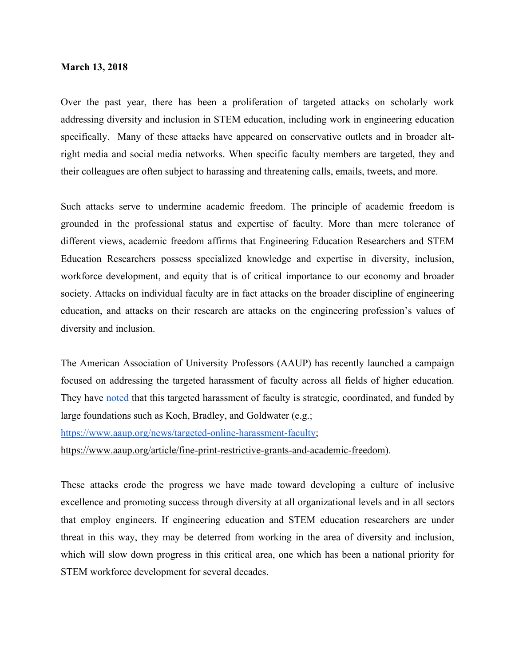## **March 13, 2018**

Over the past year, there has been a proliferation of targeted attacks on scholarly work addressing diversity and inclusion in STEM education, including work in engineering education specifically. Many of these attacks have appeared on conservative outlets and in broader altright media and social media networks. When specific faculty members are targeted, they and their colleagues are often subject to harassing and threatening calls, emails, tweets, and more.

Such attacks serve to undermine academic freedom. The principle of academic freedom is grounded in the professional status and expertise of faculty. More than mere tolerance of different views, academic freedom affirms that Engineering Education Researchers and STEM Education Researchers possess specialized knowledge and expertise in diversity, inclusion, workforce development, and equity that is of critical importance to our economy and broader society. Attacks on individual faculty are in fact attacks on the broader discipline of engineering education, and attacks on their research are attacks on the engineering profession's values of diversity and inclusion.

The American Association of University Professors (AAUP) has recently launched a campaign focused on addressing the targeted harassment of faculty across all fields of higher education. They have noted that this targeted harassment of faculty is strategic, coordinated, and funded by large foundations such as Koch, Bradley, and Goldwater (e.g.; https://www.aaup.org/news/targeted-online-harassment-faculty; https://www.aaup.org/article/fine-print-restrictive-grants-and-academic-freedom).

These attacks erode the progress we have made toward developing a culture of inclusive excellence and promoting success through diversity at all organizational levels and in all sectors that employ engineers. If engineering education and STEM education researchers are under threat in this way, they may be deterred from working in the area of diversity and inclusion, which will slow down progress in this critical area, one which has been a national priority for STEM workforce development for several decades.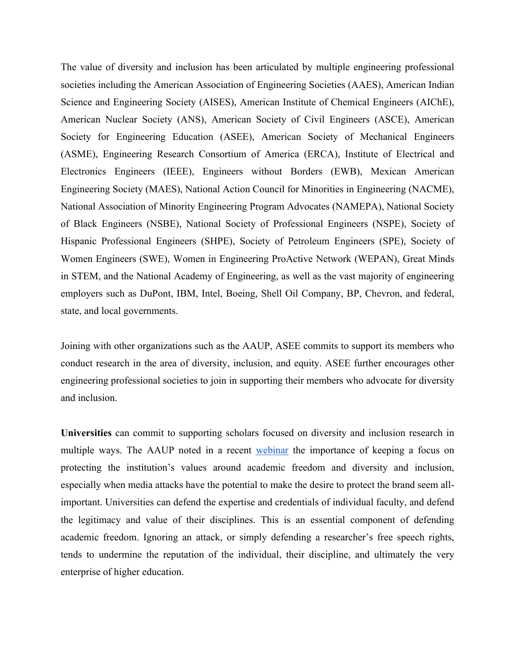The value of diversity and inclusion has been articulated by multiple engineering professional societies including the American Association of Engineering Societies (AAES), American Indian Science and Engineering Society (AISES), American Institute of Chemical Engineers (AIChE), American Nuclear Society (ANS), American Society of Civil Engineers (ASCE), American Society for Engineering Education (ASEE), American Society of Mechanical Engineers (ASME), Engineering Research Consortium of America (ERCA), Institute of Electrical and Electronics Engineers (IEEE), Engineers without Borders (EWB), Mexican American Engineering Society (MAES), National Action Council for Minorities in Engineering (NACME), National Association of Minority Engineering Program Advocates (NAMEPA), National Society of Black Engineers (NSBE), National Society of Professional Engineers (NSPE), Society of Hispanic Professional Engineers (SHPE), Society of Petroleum Engineers (SPE), Society of Women Engineers (SWE), Women in Engineering ProActive Network (WEPAN), Great Minds in STEM, and the National Academy of Engineering, as well as the vast majority of engineering employers such as DuPont, IBM, Intel, Boeing, Shell Oil Company, BP, Chevron, and federal, state, and local governments.

Joining with other organizations such as the AAUP, ASEE commits to support its members who conduct research in the area of diversity, inclusion, and equity. ASEE further encourages other engineering professional societies to join in supporting their members who advocate for diversity and inclusion.

**Universities** can commit to supporting scholars focused on diversity and inclusion research in multiple ways. The AAUP noted in a recent webinar the importance of keeping a focus on protecting the institution's values around academic freedom and diversity and inclusion, especially when media attacks have the potential to make the desire to protect the brand seem allimportant. Universities can defend the expertise and credentials of individual faculty, and defend the legitimacy and value of their disciplines. This is an essential component of defending academic freedom. Ignoring an attack, or simply defending a researcher's free speech rights, tends to undermine the reputation of the individual, their discipline, and ultimately the very enterprise of higher education.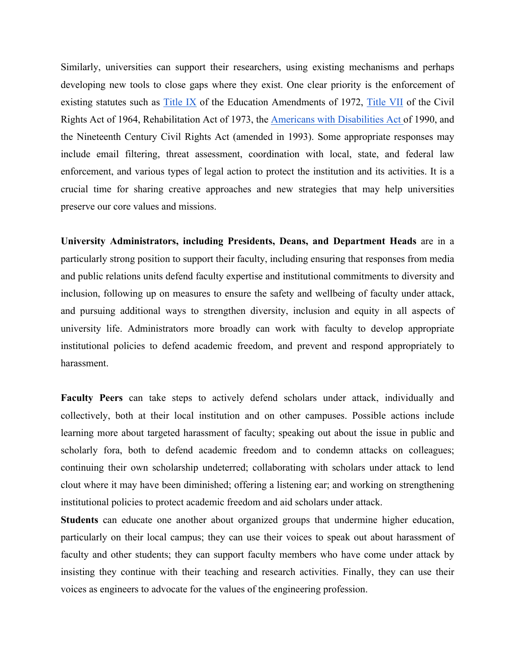Similarly, universities can support their researchers, using existing mechanisms and perhaps developing new tools to close gaps where they exist. One clear priority is the enforcement of existing statutes such as Title IX of the Education Amendments of 1972, Title VII of the Civil Rights Act of 1964, Rehabilitation Act of 1973, the Americans with Disabilities Act of 1990, and the Nineteenth Century Civil Rights Act (amended in 1993). Some appropriate responses may include email filtering, threat assessment, coordination with local, state, and federal law enforcement, and various types of legal action to protect the institution and its activities. It is a crucial time for sharing creative approaches and new strategies that may help universities preserve our core values and missions.

**University Administrators, including Presidents, Deans, and Department Heads** are in a particularly strong position to support their faculty, including ensuring that responses from media and public relations units defend faculty expertise and institutional commitments to diversity and inclusion, following up on measures to ensure the safety and wellbeing of faculty under attack, and pursuing additional ways to strengthen diversity, inclusion and equity in all aspects of university life. Administrators more broadly can work with faculty to develop appropriate institutional policies to defend academic freedom, and prevent and respond appropriately to harassment.

**Faculty Peers** can take steps to actively defend scholars under attack, individually and collectively, both at their local institution and on other campuses. Possible actions include learning more about targeted harassment of faculty; speaking out about the issue in public and scholarly fora, both to defend academic freedom and to condemn attacks on colleagues; continuing their own scholarship undeterred; collaborating with scholars under attack to lend clout where it may have been diminished; offering a listening ear; and working on strengthening institutional policies to protect academic freedom and aid scholars under attack.

**Students** can educate one another about organized groups that undermine higher education, particularly on their local campus; they can use their voices to speak out about harassment of faculty and other students; they can support faculty members who have come under attack by insisting they continue with their teaching and research activities. Finally, they can use their voices as engineers to advocate for the values of the engineering profession.